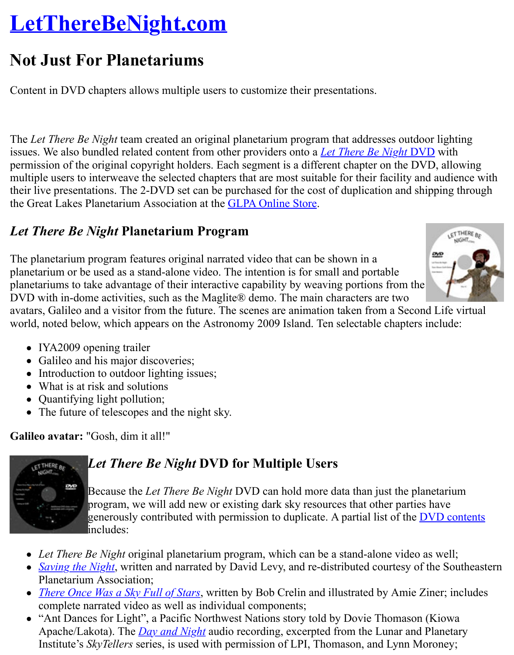Content in DVD chapters allows multiple users to customize their presentations.

The *Let There Be Night* team created an original planetarium program that addresses outdoor issues. We also bundled related content from other providers onto a *Let There Be Night* DVD permission of the original copyright holders. Each segment is a different chapter on the DVD multiple users to interweave the selected chapters that are most suitable for their facility and a their live presentations. The 2-DVD set can be purchased for the cost of duplication and shipp the Great Lakes Planetarium Association at the GLPA Online Store.

### *Let There Be Night* **Planetarium Program**

The planetarium program features original narrated video that can be shown in a planetarium or be used as a stand-alone video. The intention is for small and portable planetariums to take advantage of their interactive capability by weaving portions from the DVD with in-dome activities, such as the Magl[ite® demo. The mai](http://www.glpaweb.org/zencart5/index.php?main_page=product_info&cPath=2&products_id=29)n characters are two avatars, Galileo and a visitor from the future. The scenes are animation taken from a Second l world, noted below, which appears on the Astronomy 2009 Island. Ten selectable chapters inc

- IYA2009 opening trailer
- Galileo and his major discoveries;
- Introduction to outdoor lighting issues;
- What is at risk and solutions
- Quantifying light pollution;
- The future of telescopes and the night sky.

**Galileo avatar:** "Gosh, dim it all!"



# *Let There Be Night* **DVD for Multiple Users**

Because the *Let There Be Night* DVD can hold more data than just the plane program, we will add new or existing dark sky resources that other parties have generously contributed with permission to duplicate. A partial list of the  $\overline{DV}$ includes:

- Let There Be Night original planetarium program, which can be a stand-alone video as
- *Saving the Night*, written and narrated by David Levy, and re-distributed courtesy of the Planetarium Association;
- *There Once Was a Sky Full of Stars*, written by Bob Crelin and illustrated by Amie Zine complete narrated video as well as individual components;
- "Ant Dances for Light", a Pacific Northwest Nations story told by Dovie Thomason (K) Apache/Lakota). The *Day and Night* audio recording, excerpted from the Lunar and Planetary [Institute's](http://www.geographicsimaging.com/inside%20pages/special%20items%20pages/geo_special_items_3.htm) *SkyTellers* series, is used with permission of LPI, Thomason, and Lynn Moro

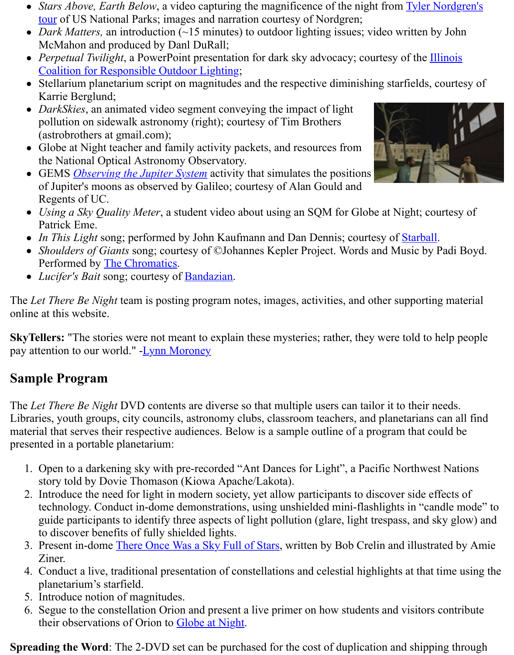- Karrie Berglund;
- *DarkSkies*[, an animated video segment conveying the impact of light](http://www.planetary.org/explore/topics/how_it_works/planetary_analogs/parks.html) pollution on sidewalk astronomy (right); courtesy of Tim Brothers (astrobrothers at gmail.com);
- [Globe at Night teacher and family activity packets, and resources from](http://www.illinoislighting.org/) the National Optical Astronomy Observatory.
- GEMS *Observing the Jupiter System* activity that simulates the positions of Jupiter's moons as observed by Galileo; courtesy of Alan Gould and Regents of UC.
- *Using a Sky Quality Meter*, a student video about using an SQM for Globe at Night; co Patrick Eme.
- *In This Light* song; performed by John Kaufmann and Dan Dennis; courtesy of **Starball**
- *Shoulders of Giants* song; courtesy of ©Johannes Kepler Project. Words and Music by Perfor[med by The Chromatics.](http://kepler.nasa.gov/ed/activities/jupmoonsGEMS.html)
- Lucifer's Bait song; courtesy of **Bandazian**.

The *Let There Be Night* team is posting program notes, images, activities, and other supporting online at this website.

**SkyTellers:** "The stories were not meant to explain these mysteries; rather, they were told to l pay attention to our world." - Lynn Moroney

## **Sample Program**

The *Let There Be Night* DVD contents are diverse so that multiple users can tailor it to their needs. Libraries, youth groups, city councils, astronomy clubs, classroom teachers, and planetarians material that serves their res[pective audience](http://www.lynnmoroney.com/)s. Below is a sample outline of a program that co presented in a portable planetarium:

- 1. Open to a darkening sky with pre-recorded "Ant Dances for Light", a Pacific Northwest story told by Dovie Thomason (Kiowa Apache/Lakota).
- 2. Introduce the need for light in modern society, yet allow participants to discover side ef technology. Conduct in-dome demonstrations, using unshielded mini-flashlights in "can guide participants to identify three aspects of light pollution (glare, light trespass, and s to discover benefits of fully shielded lights.
- 3. Present in-dome There Once Was a Sky Full of Stars, written by Bob Crelin and illustrational Ziner.
- 4. Conduct a live, traditional presentation of constellations and celestial highlights at that planetarium's starfield.
- 5. Introduce notion of magnitudes.
- 6. Segue to the constellation Orion and present a live primer on how students and visitors their observation[s of Orion to Globe at Night.](http://www.bobcrelin.com/author.html)

**Spreading the Word:** The 2-DVD set can be purchased for the cost of duplication and shipping

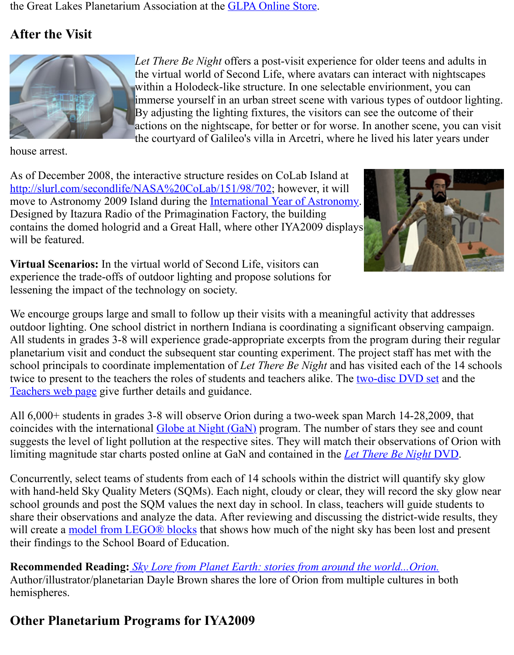

 $\sum_{i=1}^{\infty}$  Holodeck-like structure environment,  $\sum_{i=1}^{\infty}$ immerse yourself in [an urban street scen](http://www.glpaweb.org/zencart5/index.php?main_page=product_info&cPath=2&products_id=29)e with various types of ou By adjusting the lighting fixtures, the visitors can see the outcome actions on the nightscape, for better or for worse. In another scene the courtyard of Galileo's villa in Arcetri, where he lived his later

house arrest.

As of December 2008, the interactive structure resides on CoLab Island at http://slurl.com/secondlife/NASA%20CoLab/151/98/702; however, it will move to Astronomy 2009 Island during the International Year of Astronomy. Designed by Itazura Radio of the Primagination Factory, the building contains the domed hologrid and a Great Hall, where other IYA2009 displays will be featured.

**Virtual Scenarios:** In the virtual world of Second Life, visitors can [experience the trade-offs of outdoor lighting and propose](http://slurl.com/secondlife/NASA%20CoLab/151/98/702) solutions for lessening the impact of the technology on s[ociety.](http://www.lettherebenight.com/iya.html)



We encourge groups large and small to follow up their visits with a meaningful activity that a outdoor lighting. One school district in northern Indiana is coordinating a significant observing All students in grades 3-8 will experience grade-appropriate excerpts from the program during planetarium visit and conduct the subsequent star counting experiment. The project staff has metalschool principals to coordinate implementation of *Let There Be Night* and has visited each of twice to present to the teachers the roles of students and teachers alike. The two-disc DVD set Teachers web page give further details and guidance.

All 6,000+ students in grades 3-8 will observe Orion during a two-week span March 14-28,20 coincides with the international Globe at Night (GaN) program. The number of stars they see suggests the level of light pollution at the respective sites. They will match their observations limiting magnitude star charts posted online at GaN and contained in the *Let There Be Night* I

[Concurrently, selec](http://www.lettherebenight.com/teachers.html)t teams of students from each of 14 schools within the d[istrict will quantify](http://www.lettherebenight.com/dvd.html) with hand-held Sky Quality Meters (SQMs). Each night, cloudy or clear, they will record the school grounds and post the SQM values the next day in school. In class, teachers will guide students share their observations and an[alyze the data. After rev](http://www.globe.gov/GaN/)iewing and discussing the district-wide will create a model from LEGO® blocks that shows how much of the night sky has been lost their findings to the School Board of Education.

**Recommended Reading:** *Sky Lore from Planet Earth: stories from around the world...Orion.* Author/illustrator/planetarian Dayle Brown shares the lore of Orion from multiple cultures in hemispheres.

# **Other Pla[netarium Programs for](http://www.lettherebenight.com/blocks.html) IYA2009**